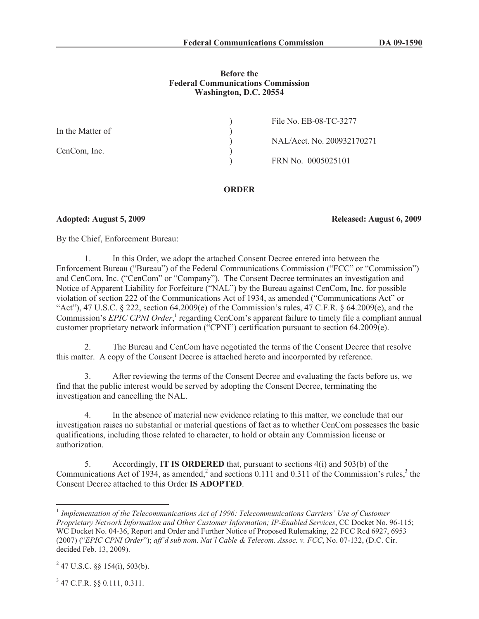# **Before the Federal Communications Commission Washington, D.C. 20554**

|                  | File No. EB-08-TC-3277     |
|------------------|----------------------------|
| In the Matter of |                            |
|                  | NAL/Acct. No. 200932170271 |
| CenCom, Inc.     |                            |
|                  | FRN No. 0005025101         |
|                  |                            |

# **ORDER**

**Adopted: August 5, 2009 Released: August 6, 2009**

By the Chief, Enforcement Bureau:

1. In this Order, we adopt the attached Consent Decree entered into between the Enforcement Bureau ("Bureau") of the Federal Communications Commission ("FCC" or "Commission") and CenCom, Inc. ("CenCom" or "Company"). The Consent Decree terminates an investigation and Notice of Apparent Liability for Forfeiture ("NAL") by the Bureau against CenCom, Inc. for possible violation of section 222 of the Communications Act of 1934, as amended ("Communications Act" or "Act"), 47 U.S.C.  $\S$  222, section 64.2009(e) of the Commission's rules, 47 C.F.R.  $\S$  64.2009(e), and the Commission's *EPIC CPNI Order*,<sup>1</sup> regarding CenCom's apparent failure to timely file a compliant annual customer proprietary network information ("CPNI") certification pursuant to section 64.2009(e).

2. The Bureau and CenCom have negotiated the terms of the Consent Decree that resolve this matter. A copy of the Consent Decree is attached hereto and incorporated by reference.

3. After reviewing the terms of the Consent Decree and evaluating the facts before us, we find that the public interest would be served by adopting the Consent Decree, terminating the investigation and cancelling the NAL.

4. In the absence of material new evidence relating to this matter, we conclude that our investigation raises no substantial or material questions of fact as to whether CenCom possesses the basic qualifications, including those related to character, to hold or obtain any Commission license or authorization.

5. Accordingly, **IT IS ORDERED** that, pursuant to sections 4(i) and 503(b) of the Communications Act of 1934, as amended,<sup>2</sup> and sections 0.111 and 0.311 of the Commission's rules,<sup>3</sup> the Consent Decree attached to this Order **IS ADOPTED**.

3 47 C.F.R. §§ 0.111, 0.311.

<sup>&</sup>lt;sup>1</sup> Implementation of the Telecommunications Act of 1996: Telecommunications Carriers' Use of Customer *Proprietary Network Information and Other Customer Information; IP-Enabled Services*, CC Docket No. 96-115; WC Docket No. 04-36, Report and Order and Further Notice of Proposed Rulemaking, 22 FCC Rcd 6927, 6953 (2007) ("*EPIC CPNI Order*"); *aff'd sub nom*. *Nat'l Cable & Telecom. Assoc. v. FCC*, No. 07-132, (D.C. Cir. decided Feb. 13, 2009).

 $^{2}$  47 U.S.C. §§ 154(i), 503(b).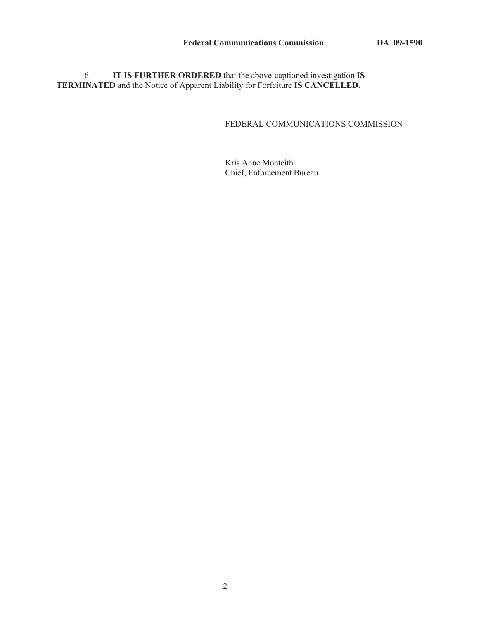6. **IT IS FURTHER ORDERED** that the above-captioned investigation **IS TERMINATED** and the Notice of Apparent Liability for Forfeiture **IS CANCELLED**.

# FEDERAL COMMUNICATIONS COMMISSION

Kris Anne Monteith Chief, Enforcement Bureau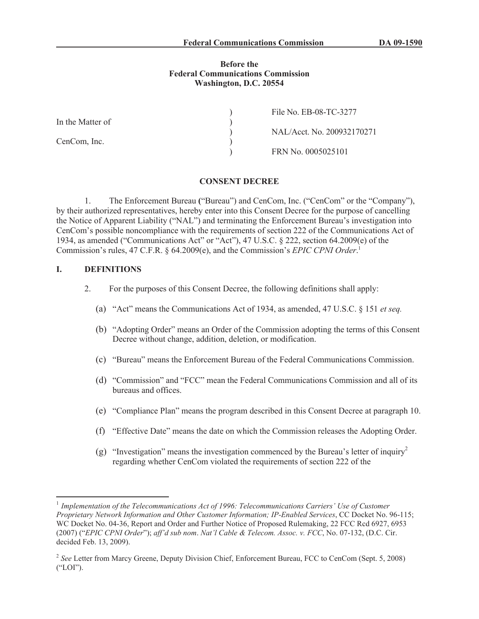#### **Before the Federal Communications Commission Washington, D.C. 20554**

| File No. EB-08-TC-3277     |
|----------------------------|
|                            |
| NAL/Acct. No. 200932170271 |
|                            |
| FRN No. 0005025101         |
|                            |

#### **CONSENT DECREE**

1. The Enforcement Bureau **(**"Bureau") and CenCom, Inc. ("CenCom" or the "Company"), by their authorized representatives, hereby enter into this Consent Decree for the purpose of cancelling the Notice of Apparent Liability ("NAL") and terminating the Enforcement Bureau's investigation into CenCom's possible noncompliance with the requirements of section 222 of the Communications Act of 1934, as amended ("Communications Act" or "Act"), 47 U.S.C. § 222, section 64.2009(e) of the Commission's rules, 47 C.F.R. § 64.2009(e), and the Commission's *EPIC CPNI Order*. 1

# **I. DEFINITIONS**

- 2. For the purposes of this Consent Decree, the following definitions shall apply:
	- (a) "Act" means the Communications Act of 1934, as amended, 47 U.S.C. § 151 *et seq.*
	- (b) "Adopting Order" means an Order of the Commission adopting the terms of this Consent Decree without change, addition, deletion, or modification.
	- (c) "Bureau" means the Enforcement Bureau of the Federal Communications Commission.
	- (d) "Commission" and "FCC" mean the Federal Communications Commission and all of its bureaus and offices.
	- (e) "Compliance Plan" means the program described in this Consent Decree at paragraph 10.
	- (f) "Effective Date" means the date on which the Commission releases the Adopting Order.
	- (g) "Investigation" means the investigation commenced by the Bureau's letter of inquiry<sup>2</sup> regarding whether CenCom violated the requirements of section 222 of the

<sup>&</sup>lt;sup>1</sup> Implementation of the Telecommunications Act of 1996: Telecommunications Carriers' Use of Customer *Proprietary Network Information and Other Customer Information; IP-Enabled Services*, CC Docket No. 96-115; WC Docket No. 04-36, Report and Order and Further Notice of Proposed Rulemaking, 22 FCC Rcd 6927, 6953 (2007) ("*EPIC CPNI Order*"); *aff'd sub nom*. *Nat'l Cable & Telecom. Assoc. v. FCC*, No. 07-132, (D.C. Cir. decided Feb. 13, 2009).

<sup>&</sup>lt;sup>2</sup> See Letter from Marcy Greene, Deputy Division Chief, Enforcement Bureau, FCC to CenCom (Sept. 5, 2008) ("LOI").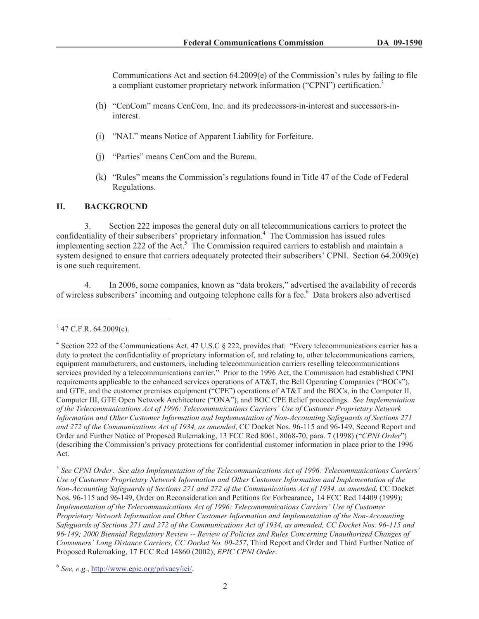Communications Act and section  $64.2009(e)$  of the Commission's rules by failing to file a compliant customer proprietary network information ("CPNI") certification.<sup>3</sup>

- (h) "CenCom" means CenCom, Inc. and its predecessors-in-interest and successors-ininterest.
- (i) "NAL" means Notice of Apparent Liability for Forfeiture.
- (j) "Parties" means CenCom and the Bureau.
- (k) "Rules" means the Commission's regulations found in Title 47 of the Code of Federal Regulations.

# **II. BACKGROUND**

3. Section 222 imposes the general duty on all telecommunications carriers to protect the confidentiality of their subscribers' proprietary information.<sup>4</sup> The Commission has issued rules implementing section 222 of the Act.<sup>5</sup> The Commission required carriers to establish and maintain a system designed to ensure that carriers adequately protected their subscribers' CPNI. Section 64.2009(e) is one such requirement.

4. In 2006, some companies, known as "data brokers," advertised the availability of records of wireless subscribers' incoming and outgoing telephone calls for a fee.<sup>6</sup> Data brokers also advertised

 $3$  47 C.F.R. 64.2009(e).

<sup>&</sup>lt;sup>4</sup> Section 222 of the Communications Act, 47 U.S.C § 222, provides that: "Every telecommunications carrier has a duty to protect the confidentiality of proprietary information of, and relating to, other telecommunications carriers, equipment manufacturers, and customers, including telecommunication carriers reselling telecommunications services provided by a telecommunications carrier." Prior to the 1996 Act, the Commission had established CPNI requirements applicable to the enhanced services operations of AT&T, the Bell Operating Companies ("BOCs"), and GTE, and the customer premises equipment ("CPE") operations of AT&T and the BOCs, in the Computer II, Computer III, GTE Open Network Architecture ("ONA"), and BOC CPE Relief proceedings. *See Implementation of the Telecommunications Act of 1996: Telecommunications Carriers' Use of Customer Proprietary Network Information and Other Customer Information and Implementation of Non-Accounting Safeguards of Sections 271 and 272 of the Communications Act of 1934, as amended*, CC Docket Nos. 96-115 and 96-149, Second Report and Order and Further Notice of Proposed Rulemaking, 13 FCC Rcd 8061, 8068-70, para. 7 (1998) ("*CPNI Order*") (describing the Commission's privacy protections for confidential customer information in place prior to the 1996 Act.

<sup>5</sup> *See CPNI Order*. *See also Implementation of the Telecommunications Act of 1996: Telecommunications Carriers' Use of Customer Proprietary Network Information and Other Customer Information and Implementation of the Non-Accounting Safeguards of Sections 271 and 272 of the Communications Act of 1934, as amended*, CC Docket Nos. 96-115 and 96-149, Order on Reconsideration and Petitions for Forbearance, 14 FCC Rcd 14409 (1999); *Implementation of the Telecommunications Act of 1996: Telecommunications Carriers' Use of Customer Proprietary Network Information and Other Customer Information and Implementation of the Non-Accounting Safeguards of Sections 271 and 272 of the Communications Act of 1934, as amended, CC Docket Nos. 96-115 and 96-149; 2000 Biennial Regulatory Review -- Review of Policies and Rules Concerning Unauthorized Changes of Consumers' Long Distance Carriers, CC Docket No. 00-257*, Third Report and Order and Third Further Notice of Proposed Rulemaking, 17 FCC Rcd 14860 (2002); *EPIC CPNI Order*.

<sup>6</sup> *See, e.g.*, http://www.epic.org/privacy/iei/.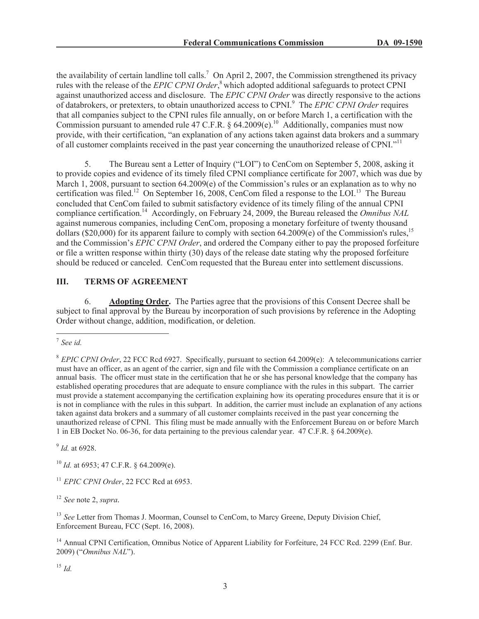the availability of certain landline toll calls.<sup>7</sup> On April 2, 2007, the Commission strengthened its privacy rules with the release of the *EPIC CPNI Order*, <sup>8</sup> which adopted additional safeguards to protect CPNI against unauthorized access and disclosure. The *EPIC CPNI Order* was directly responsive to the actions of databrokers, or pretexters, to obtain unauthorized access to CPNI.<sup>9</sup> The *EPIC CPNI Order* requires that all companies subject to the CPNI rules file annually, on or before March 1, a certification with the Commission pursuant to amended rule 47 C.F.R. § 64.2009(e).<sup>10</sup> Additionally, companies must now provide, with their certification, "an explanation of any actions taken against data brokers and a summary of all customer complaints received in the past year concerning the unauthorized release of CPNI."<sup>11</sup>

5. The Bureau sent a Letter of Inquiry ("LOI") to CenCom on September 5, 2008, asking it to provide copies and evidence of its timely filed CPNI compliance certificate for 2007, which was due by March 1, 2008, pursuant to section 64.2009(e) of the Commission's rules or an explanation as to why no certification was filed.<sup>12</sup> On September 16, 2008, CenCom filed a response to the LOI.<sup>13</sup> The Bureau concluded that CenCom failed to submit satisfactory evidence of its timely filing of the annual CPNI compliance certification.<sup>14</sup> Accordingly, on February 24, 2009, the Bureau released the *Omnibus NAL* against numerous companies, including CenCom, proposing a monetary forfeiture of twenty thousand dollars (\$20,000) for its apparent failure to comply with section 64.2009(e) of the Commission's rules,<sup>15</sup> and the Commission's *EPIC CPNI Order*, and ordered the Company either to pay the proposed forfeiture or file a written response within thirty (30) days of the release date stating why the proposed forfeiture should be reduced or canceled. CenCom requested that the Bureau enter into settlement discussions.

### **III. TERMS OF AGREEMENT**

6. **Adopting Order.** The Parties agree that the provisions of this Consent Decree shall be subject to final approval by the Bureau by incorporation of such provisions by reference in the Adopting Order without change, addition, modification, or deletion.

9 *Id.* at 6928.

<sup>10</sup> *Id.* at 6953; 47 C.F.R. § 64.2009(e).

<sup>11</sup> *EPIC CPNI Order*, 22 FCC Rcd at 6953.

<sup>12</sup> *See* note 2, *supra.*

<sup>13</sup> See Letter from Thomas J. Moorman, Counsel to CenCom, to Marcy Greene, Deputy Division Chief, Enforcement Bureau, FCC (Sept. 16, 2008).

<sup>14</sup> Annual CPNI Certification, Omnibus Notice of Apparent Liability for Forfeiture, 24 FCC Rcd. 2299 (Enf. Bur. 2009) ("*Omnibus NAL*").

<sup>15</sup> *Id.*

<sup>7</sup> *See id.*

<sup>8</sup> *EPIC CPNI Order*, 22 FCC Rcd 6927. Specifically, pursuant to section 64.2009(e): A telecommunications carrier must have an officer, as an agent of the carrier, sign and file with the Commission a compliance certificate on an annual basis. The officer must state in the certification that he or she has personal knowledge that the company has established operating procedures that are adequate to ensure compliance with the rules in this subpart. The carrier must provide a statement accompanying the certification explaining how its operating procedures ensure that it is or is not in compliance with the rules in this subpart. In addition, the carrier must include an explanation of any actions taken against data brokers and a summary of all customer complaints received in the past year concerning the unauthorized release of CPNI. This filing must be made annually with the Enforcement Bureau on or before March 1 in EB Docket No. 06-36, for data pertaining to the previous calendar year. 47 C.F.R. § 64.2009(e).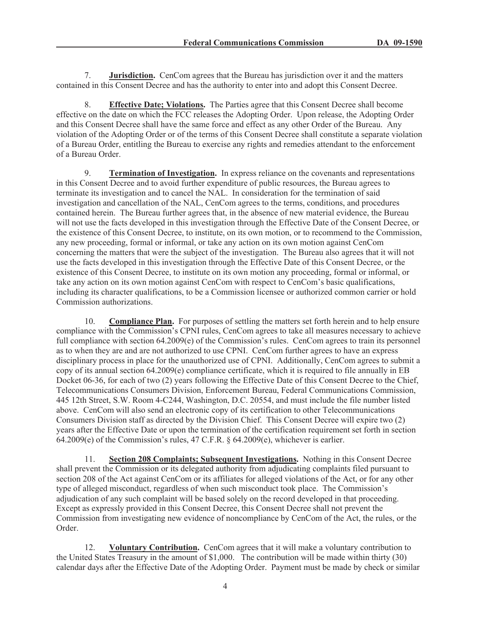7. **Jurisdiction.** CenCom agrees that the Bureau has jurisdiction over it and the matters contained in this Consent Decree and has the authority to enter into and adopt this Consent Decree.

8. **Effective Date; Violations.** The Parties agree that this Consent Decree shall become effective on the date on which the FCC releases the Adopting Order. Upon release, the Adopting Order and this Consent Decree shall have the same force and effect as any other Order of the Bureau. Any violation of the Adopting Order or of the terms of this Consent Decree shall constitute a separate violation of a Bureau Order, entitling the Bureau to exercise any rights and remedies attendant to the enforcement of a Bureau Order.

9. **Termination of Investigation.** In express reliance on the covenants and representations in this Consent Decree and to avoid further expenditure of public resources, the Bureau agrees to terminate its investigation and to cancel the NAL. In consideration for the termination of said investigation and cancellation of the NAL, CenCom agrees to the terms, conditions, and procedures contained herein. The Bureau further agrees that, in the absence of new material evidence, the Bureau will not use the facts developed in this investigation through the Effective Date of the Consent Decree, or the existence of this Consent Decree, to institute, on its own motion, or to recommend to the Commission, any new proceeding, formal or informal, or take any action on its own motion against CenCom concerning the matters that were the subject of the investigation. The Bureau also agrees that it will not use the facts developed in this investigation through the Effective Date of this Consent Decree, or the existence of this Consent Decree, to institute on its own motion any proceeding, formal or informal, or take any action on its own motion against CenCom with respect to CenCom's basic qualifications, including its character qualifications, to be a Commission licensee or authorized common carrier or hold Commission authorizations.

10. **Compliance Plan.** For purposes of settling the matters set forth herein and to help ensure compliance with the Commission's CPNI rules, CenCom agrees to take all measures necessary to achieve full compliance with section 64.2009(e) of the Commission's rules. CenCom agrees to train its personnel as to when they are and are not authorized to use CPNI. CenCom further agrees to have an express disciplinary process in place for the unauthorized use of CPNI. Additionally, CenCom agrees to submit a copy of its annual section 64.2009(e) compliance certificate, which it is required to file annually in EB Docket 06-36, for each of two (2) years following the Effective Date of this Consent Decree to the Chief, Telecommunications Consumers Division, Enforcement Bureau, Federal Communications Commission, 445 12th Street, S.W. Room 4-C244, Washington, D.C. 20554, and must include the file number listed above. CenCom will also send an electronic copy of its certification to other Telecommunications Consumers Division staff as directed by the Division Chief. This Consent Decree will expire two (2) years after the Effective Date or upon the termination of the certification requirement set forth in section 64.2009(e) of the Commission's rules, 47 C.F.R. § 64.2009(e), whichever is earlier.

11. **Section 208 Complaints; Subsequent Investigations.** Nothing in this Consent Decree shall prevent the Commission or its delegated authority from adjudicating complaints filed pursuant to section 208 of the Act against CenCom or its affiliates for alleged violations of the Act, or for any other type of alleged misconduct, regardless of when such misconduct took place. The Commission's adjudication of any such complaint will be based solely on the record developed in that proceeding. Except as expressly provided in this Consent Decree, this Consent Decree shall not prevent the Commission from investigating new evidence of noncompliance by CenCom of the Act, the rules, or the Order.

12. **Voluntary Contribution.** CenCom agrees that it will make a voluntary contribution to the United States Treasury in the amount of \$1,000. The contribution will be made within thirty (30) calendar days after the Effective Date of the Adopting Order. Payment must be made by check or similar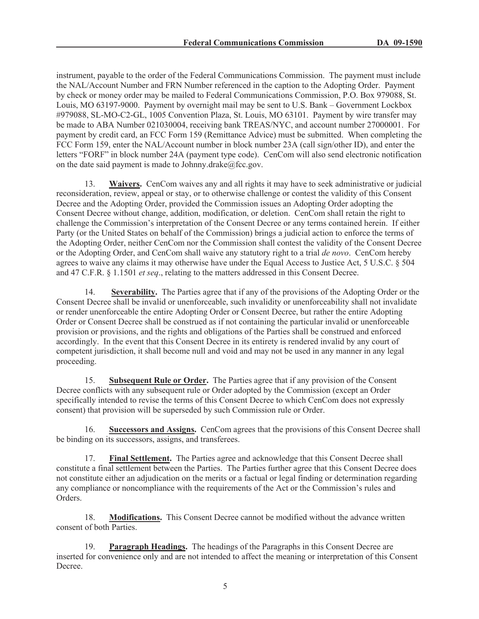instrument, payable to the order of the Federal Communications Commission. The payment must include the NAL/Account Number and FRN Number referenced in the caption to the Adopting Order. Payment by check or money order may be mailed to Federal Communications Commission, P.O. Box 979088, St. Louis, MO 63197-9000. Payment by overnight mail may be sent to U.S. Bank – Government Lockbox #979088, SL-MO-C2-GL, 1005 Convention Plaza, St. Louis, MO 63101. Payment by wire transfer may be made to ABA Number 021030004, receiving bank TREAS/NYC, and account number 27000001. For payment by credit card, an FCC Form 159 (Remittance Advice) must be submitted. When completing the FCC Form 159, enter the NAL/Account number in block number 23A (call sign/other ID), and enter the letters "FORF" in block number 24A (payment type code). CenCom will also send electronic notification on the date said payment is made to Johnny.drake@fcc.gov.

13. **Waivers.** CenCom waives any and all rights it may have to seek administrative or judicial reconsideration, review, appeal or stay, or to otherwise challenge or contest the validity of this Consent Decree and the Adopting Order, provided the Commission issues an Adopting Order adopting the Consent Decree without change, addition, modification, or deletion. CenCom shall retain the right to challenge the Commission's interpretation of the Consent Decree or any terms contained herein. If either Party (or the United States on behalf of the Commission) brings a judicial action to enforce the terms of the Adopting Order, neither CenCom nor the Commission shall contest the validity of the Consent Decree or the Adopting Order, and CenCom shall waive any statutory right to a trial *de novo*. CenCom hereby agrees to waive any claims it may otherwise have under the Equal Access to Justice Act, 5 U.S.C. § 504 and 47 C.F.R. § 1.1501 *et seq*., relating to the matters addressed in this Consent Decree.

14. **Severability.** The Parties agree that if any of the provisions of the Adopting Order or the Consent Decree shall be invalid or unenforceable, such invalidity or unenforceability shall not invalidate or render unenforceable the entire Adopting Order or Consent Decree, but rather the entire Adopting Order or Consent Decree shall be construed as if not containing the particular invalid or unenforceable provision or provisions, and the rights and obligations of the Parties shall be construed and enforced accordingly. In the event that this Consent Decree in its entirety is rendered invalid by any court of competent jurisdiction, it shall become null and void and may not be used in any manner in any legal proceeding.

15. **Subsequent Rule or Order.** The Parties agree that if any provision of the Consent Decree conflicts with any subsequent rule or Order adopted by the Commission (except an Order specifically intended to revise the terms of this Consent Decree to which CenCom does not expressly consent) that provision will be superseded by such Commission rule or Order.

16. **Successors and Assigns.** CenCom agrees that the provisions of this Consent Decree shall be binding on its successors, assigns, and transferees.

17. **Final Settlement.** The Parties agree and acknowledge that this Consent Decree shall constitute a final settlement between the Parties. The Parties further agree that this Consent Decree does not constitute either an adjudication on the merits or a factual or legal finding or determination regarding any compliance or noncompliance with the requirements of the Act or the Commission's rules and Orders.

18. **Modifications.** This Consent Decree cannot be modified without the advance written consent of both Parties.

19. **Paragraph Headings.** The headings of the Paragraphs in this Consent Decree are inserted for convenience only and are not intended to affect the meaning or interpretation of this Consent Decree.